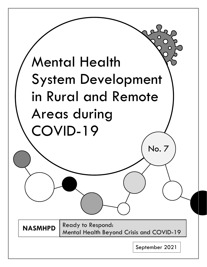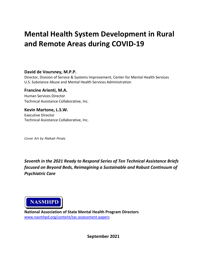# **Mental Health System Development in Rural and Remote Areas during COVID-19**

## **David de Voursney, M.P.P.**

Director, Division of Service & Systems Improvement, Center for Mental Health Services U.S. Substance Abuse and Mental Health Services Administration

# **Francine Arienti, M.A.**

Human Services Director Technical Assistance Collaborative, Inc.

**Kevin Martone, L.S.W.** Executive Director Technical Assistance Collaborative, Inc.

*Cover Art by Malkah Pinals*

*Seventh in the 2021 Ready to Respond Series of Ten Technical Assistance Briefs focused on Beyond Beds, Reimagining a Sustainable and Robust Continuum of Psychiatric Care*



**National Association of State Mental Health Program Directors**  [www.nasmhpd.org/content/tac-assessment-papers](http://www.nasmhpd.org/content/tac-assessment-papers)

**September 2021**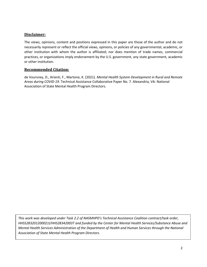## **Disclaimer:**

The views, opinions, content and positions expressed in this paper are those of the author and do not necessarily represent or reflect the official views, opinions, or policies of any governmental, academic, or other institution with whom the author is affiliated; nor does mention of trade names, commercial practices, or organizations imply endorsement by the U.S. government, any state government, academic or other institution.

## **Recommended Citation:**

de Voursney, D., Arienti, F., Martone, K. (2021). *Mental Health System Development in Rural and Remote Areas during COVID-19.* Technical Assistance Collaborative Paper No. 7. Alexandria, VA: National Association of State Mental Health Program Directors.

*This work was developed under Task 2.2 of NASMHPD's Technical Assistance Coalition contract/task order, HHSS283201200021I/HHS28342003T and funded by the Center for Mental Health Services/Substance Abuse and Mental Health Services Administration of the Department of Health and Human Services through the National Association of State Mental Health Program Directors.*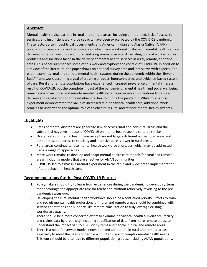#### **Abstract:**

Mental health service barriers in rural and remote areas, including unmet need, lack of access to services, and insufficient workforce capacity have been exacerbated by the COVID-19 pandemic. These factors also impact tribal governments and American Indian and Alaska Native (AI/AN) populations living in rural and remote areas, which face additional obstacles in mental health service delivery, but also have unique cultural and programmatic assets. An existing body of work explores problems and solutions faced in the delivery of mental health services in rural, remote, and tribal areas. This paper summarizes some of this work and explores the context of COVID-19. In addition to a review of the literature, the paper draws on national survey data and interviews with experts. The paper examines rural and remote mental health systems during the pandemic within the "Beyond Beds" framework, assuming a goal of creating a robust, interconnected, and evidence-based system of care. Rural and remote populations have experienced increased prevalence of mental illness a result of COVID-19, but the complete impact of the pandemic on mental health and social wellbeing remains unknown. Rural and remote mental health systems experienced disruptions to service delivery and rapid adoption of tele-behavioral health during the pandemic. While this natural experiment demonstrated the value of increased tele-behavioral health care, additional work remains to understand the optimal role of telehealth in rural and remote mental health systems.

## **Highlights:**

- Rates of mental disorders are generally similar across rural and non-rural areas and the substantial negative impacts of COVID-19 on mental health seem also to be similar
- Overall rates of mental health care receipt are not largely different across rural areas and other areas, but access to specialty and intensive care is lower in rural areas.
- Rural areas continue to face mental health workforce shortages, which may be addressed using a range of approaches.
- More work remains to develop and adapt mental health care models for rural and remote areas, including models that are effective for AI/AN communities.
- COVID-19 led to a massive natural experiment in the rapid and widespread implementation of tele-behavioral health care.

#### **Recommendations for the Post-COVID-19 Future:**

- **1.** Policymakers should try to learn from experiences during the pandemic to develop systems that encourage the appropriate role for telehealth, without reflexively reverting to the prepandemic status quo.
- 2. Developing the rural mental health workforce should be a continued priority. Efforts to train and recruit mental health professionals in rural and remote areas should be combined with service adaptations and supports like remote consultation to fully leverage existing workforce capacity.
- 3. There should be a more concerted effort to examine behavioral health surveillance, facility, and claims data by urbanicity, including stratification of data from more remote areas, to understand the impact of COVID-19 on systems and people in rural and remote areas.
- 4. There is a need for service model innovation and adaptation in rural and remote areas, especially to meet the needs of people with intensive and complex mental health needs. This work should be attentive to different population groups, including AI/AN populations.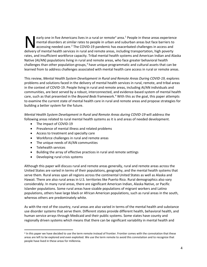e[a](#page-4-0)rly one in five Americans lives in a rural or remote<sup>a</sup> area.<sup>[1](#page-18-0)</sup> People in these areas experience mental disorders at similar rates to people in urban and suburban areas but face barriers to accessing needed care.<sup>[2](#page-18-1)</sup> The COVID-19 pandemic has exacerbated challenges in access and early one in five Americans lives in a rural or remote<sup>a</sup> area.<sup>1</sup> People in these areas experien<br>mental disorders at similar rates to people in urban and suburban areas but face barriers to<br>accessing needed care.<sup>2</sup> The C rates, and insufficient workforce capacity. Tribal mental health systems and American Indian and Alaska Native (AI/AN) populations living in rural and remote areas, who face greater behavioral health challenges than other population groups, $3$  have unique programmatic and cultural assets that can be learned from to address challenges associated with mental health care access in rural or remote areas.

This review, *Mental Health System Development in Rural and Remote Areas During COVID-19,* explores problems and solutions faced in the delivery of mental health services in rural, remote, and tribal areas in the context of COVID-19. People living in rural and remote areas, including AI/AN individuals and communities, are best served by a robust, interconnected, and evidence-based system of mental health care, such as that presented in the *Beyond Beds* framework.<sup>[4](#page-18-3)</sup> With this as the goal, this paper attempts to examine the current state of mental health care in rural and remote areas and propose strategies for building a better system for the future.

*Mental Health System Development in Rural and Remote Areas during COVID-19* will address the following areas related to rural mental health systems as it is and areas of needed development.

- The impact of COVID-19
- Prevalence of mental illness and related problems
- Access to treatment and specialty care
- Workforce challenges in rural and remote areas
- The unique needs of AI/AN communities
- Telehealth services
- Building the array of effective practices in rural and remote settings
- Developing rural crisis systems

Although this paper will discuss rural and remote areas generally, rural and remote areas across the United States are varied in terms of their populations, geography, and the mental health systems that serve them. Rural areas span all regions across the continental United States as well as Alaska and Hawaii. There are also rural areas in U.S. territories like Puerto Rico. Rural demographics also vary considerably. In many rural areas, there are significant American Indian, Alaska Native, or Pacific Islander populations. Some rural areas have sizable populations of migrant workers and Latino populations, others have large black or African American populations, such as rural areas in the south, whereas others are predominately white.

As with the rest of the country, rural areas are also varied in terms of the mental health and substance use disorder systems that serve them. Different states provide different health, behavioral health, and human service arrays through Medicaid and their public systems. Some states have county and regionally driven systems which means that there can be significant variability in mental health and

<span id="page-4-0"></span>a In this paper we have decided to use the term remote instead of frontier. Frontier comes with the connotation that these areas are left to be explored and even exploited. We use the term remote to avoid this connotation and to recognize that people have lived in these areas for millennia.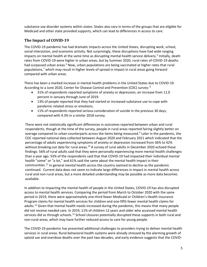substance use disorder systems within states. States also vary in terms of the groups that are eligible for Medicaid and other state provided supports, which can lead to differences in access to care.

#### **The Impact of COVID-19**

The COVID-19 pandemic has had dramatic impacts across the United States, disrupting work, school, social interaction, and economic activity. Not surprisingly, these disruptions have had wide ranging impacts on mental health at the same time as disrupting mental health service delivery.<sup>[5](#page-18-4)</sup> Initially, death rates from COVID-19 were higher in urban areas, but by Summer 2020, rural rates of COVID-19 deaths had surpassed urban areas.<sup>[6](#page-18-5)</sup> Now, urban populations are being vaccinated at higher rates that rural populations, [7](#page-18-6) which may result in higher levels of spread in impact in rural areas going forward compared with urban areas.

There has been a marked increase in mental health problems in the United States due to COVID-19. According to a June 2020, Center for Disease Control and Prevention (CDC) survey: [8](#page-18-7)

- 31% of respondents reported symptoms of anxiety or depression, an increase from 11.0 percent in January through June of 2019.
- 13% of people reported that they had started or increased substance use to cope with pandemic related stress or emotions.
- 11% of respondents reported serious consideration of suicide in the previous 30 days, compared with 4.3% in a similar 2018 survey.

There were not statistically significant differences in outcomes reported between urban and rural respondents, though at the time of the survey, people in rural areas reported fairing slightly better on average compared to urban counterparts across the items being measured.<sup>[9](#page-18-8)</sup> Later in the pandemic, the CDC reported national data collected between August 2020 and February 2021 which indicated that the percentage of adults experiencing symptoms of anxiety or depression increased from 36% to 42% without breaking out data for rural areas.<sup>[10](#page-18-9)</sup> A survey of rural adults in December 2020 echoed these findings: 56% of rural adults said that they were personally experiencing more mental health challenges than a year ago. 53% of the respondents said that that COVID-19 had impacted their individual mental health "some" or "a lot," and 61% said the same about the mental health impact in their communities.<sup>[11](#page-18-10)</sup> In general mental health across the country seemed to decline as the pandemic continued. Current data does not seem to indicate large differences in impact in mental health across rural and non-rural areas, but a more detailed understanding may be possible as more data becomes available.

In addition to impacting the mental health of people in the United States, COVID-19 has also disrupted access to mental health services. Comparing the period from March to October 2020 with the same period in 2019, there were approximately one-third fewer Medicaid or Children's Health Insurance Program claims for mental health services for children and one-fifth fewer mental health claims for adults.<sup>[12](#page-18-11)</sup> Given that mental health needs increased during the pandemic, this means that many people did not receive needed care. In 2019, 11% of children 12 years and older who accessed mental health services did so through schools.<sup>[13](#page-18-12)</sup> School closures potentially disrupted these supports in both rural and non-rural areas, which may have further reduced access to care for young people.

The COVID-19 pandemic has presented additional challenges to providers trying to deliver mental health services in rural areas. Rural behavioral health systems were already stressed by the alarming growth of opioid use and overdose deaths over the past two decades, and early evidence suggests that the COVID-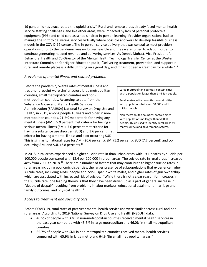19 pandemic has exacerbated the opioid crisis.<sup>[14](#page-18-13)</sup> Rural and remote areas already faced mental health service staffing challenges, and like other areas, were impacted by lack of personal protective equipment (PPE) and child care as schools halted in-person learning. Provider organizations had to manage the shift to delivering services virtually where possible and work to develop feasible business models in the COVID-19 context. The in-person service delivery that was central to most providers' operations prior to the pandemic was no longer feasible and they were forced to adapt in order to continue generating needed revenue and delivering services. As Dennis Mohatt, Vice President for Behavioral Health and Co-Director of the Mental Health Technology Transfer Center at the Western Interstate Commission for Higher Education put it, "Delivering treatment, prevention, and support in rural and remote places is a difficult thing on a good day, and it hasn't been a great day for a while."<sup>[15](#page-18-14)</sup>

## *Prevalence of mental illness and related problems*

Before the pandemic, overall rates of mental illness and treatment receipt were similar across large metropolitan counties, small metropolitan counties and nonmetropolitan counties. According to data from the Substance Abuse and Mental Health Services Administration (SAMHSA) National Survey on Drug Use and Health, in 2019, among people 18 years and older in nonmetropolitan counties, 21.2% met criteria for having any mental illness (AMI), 5.9 percent met criteria for having a serious mental illness (SMI), 7.0 percent met criteria for having a substance use disorder (SUD) and 3.6 percent met criteria for having a mental illness and a co-occurring SUD.

Large metropolitan counties: contain cities with a population larger than 1 million people.

Small metropolitan counties: contain cities with populations between 50,000 and 1 million people.

Non-metropolitan counties: contain cities with populations no larger than 50,000 people. This is used to identify rural areas by many surveys and government systems.

This is similar to national rates for AMI (20.6 percent), SMI (5.2 percent), SUD (7.7 percent) and co-occurring AMI and SUD (3.8 percent).<sup>[16](#page-18-15)</sup>

In 2018, rural areas experienced a higher suicide rate in than urban areas with 19.1 deaths by suicide per 100,000 people compared with 13.4 per 100,000 in urban areas. The suicide rate in rural areas increased 48% from 2000 to 2018.<sup>[17](#page-18-16)</sup> There are a number of factors that may contribute to higher suicide rates in rural areas including economic disparities, the larger presence of subpopulations that experience higher suicide rates, including AI/AN people and non-Hispanic white males, and higher rates of gun ownership, which are associated with increased risk of suicide.<sup>[18](#page-18-17)</sup> While there is not a clear reason for increases in the suicide rate, one leading theory is that they have been driven up as a part of general increase in "deaths of despair" resulting from problems in labor markets, educational attainment, marriage and family outcomes, and physical health.<sup>[19](#page-18-18)</sup>

#### *Access to treatment and specialty care*

Before COVID-19, total rates of past year mental health service use were similar across rural and nonrural areas. According to 2019 National Survey on Drug Use and Health (NSDUH) data:

- 46.5% of people with AMI in non-metropolitan counties received mental health services in the past year compared with 43.6% in large metropolitan and 46.0% in small metropolitan counties.
- 65.7% of people with SMI in non-metropolitan counties received mental health services compared with 65.9% in large metro and 64.9.% in small metropolitan areas.<sup>[20](#page-18-19)</sup>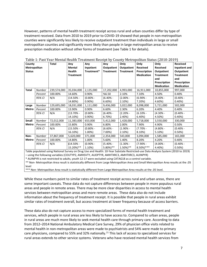However, patterns of mental health treatment receipt across rural and urban counties differ by type of treatment received. Data from 2010 to 2019 prior to COVID-19 showed that people in non-metropolitan counties were significantly less likely to receive outpatient treatment than individuals in large or small metropolitan counties and significantly more likely than people in large metropolitan areas to receive prescription medication without other forms of treatment (see Table 1 for details).

| County<br>Metropolitan<br><b>Status</b> |               | <b>Total</b> | Any<br>Mental<br>Health<br><b>Treatment</b> | Any<br>Inpatient<br>Treatment* | Any<br>Outpatient<br><b>Treatment</b> | Only<br>Outpatient<br><b>Treatment</b> | Only<br><b>Received</b><br>Prescription<br><b>Medication</b> | Only<br>Received<br>Outpatient<br><b>Treatment</b><br>and<br>Prescription | <b>Received</b><br>Inpatient and<br>Outpatient<br><b>Treatment</b><br>and<br>Prescription |
|-----------------------------------------|---------------|--------------|---------------------------------------------|--------------------------------|---------------------------------------|----------------------------------------|--------------------------------------------------------------|---------------------------------------------------------------------------|-------------------------------------------------------------------------------------------|
|                                         |               |              |                                             |                                |                                       |                                        |                                                              | <b>Medication</b>                                                         | <b>Medication</b>                                                                         |
| Total                                   | Number        | 239,574,000  | 35,034,000                                  | 2,135,000                      | 17,202,000                            | 4,993,000                              | 16,911,000                                                   | 10,855,000                                                                | 997,000                                                                                   |
|                                         | Percent       | 100.00%      | 14.60%                                      | 0.90%                          | %6.50                                 | 2.10%                                  | 7.10%                                                        | 4.50%                                                                     | 0.40%                                                                                     |
|                                         | 95% CI        | N/A          | $(14.50% -$                                 | $(0.80% -$                     | $(6.40% -$                            | $(2.00% -$                             | $(6.90% -$                                                   | (4.40% -                                                                  | $(0.40% -$                                                                                |
|                                         |               |              | 14.80%)                                     | 0.90%                          | 6.60%                                 | 2.10%)                                 | $7.20\%$                                                     | 4.60%)                                                                    | 0.40%                                                                                     |
| Large                                   | Number        | 129,695,000  | 18,031,000                                  | 1,111,000                      | 9,436,000                             | 3,022,000                              | 8,098,000                                                    | 5,721,000                                                                 | 502,000                                                                                   |
| Metro                                   | Percent       | 100.00%      | 13.90%                                      | 0.90%                          | 6.60%                                 | 2.30%                                  | 6.20%                                                        | 4.40%                                                                     | 0.40%                                                                                     |
|                                         | 95% CI        | N/A          | $(13.70% -$                                 | $(0.80% -$                     | $(6.40% -$                            | $(2.20% -$                             | $(6.10% -$                                                   | $(4.30% -$                                                                | $(0.40% -$                                                                                |
|                                         |               |              | 14.10%)                                     | 0.90%                          | 6.70%                                 | 2.40%)                                 | 6.40%                                                        | 4.50%)                                                                    | 0.40%                                                                                     |
| Small                                   | <b>Number</b> | 72,012,000   | 11,383,000                                  | 653,000                        | 5,412,000                             | 1,428,000                              | 5,718,000                                                    | 3,550,000                                                                 | 330,000                                                                                   |
| Metro                                   | Percent       | 100.00%      | 15.80%                                      | 0.90%                          | 6.80%                                 | 2.00%                                  | 7.90%                                                        | 4.90%                                                                     | 0.50%                                                                                     |
|                                         | 95% CI        | N/A          | $(15.50% -$                                 | $(0.80% -$                     | $(6.60% -$                            | $(1.90\% -$                            | $(7.70% -$                                                   | $(4.80% -$                                                                | $(0.40% -$                                                                                |
|                                         |               |              | 16.10%)                                     | 1.00%)                         | 7.00%)                                | 2.10%)                                 | 8.10%                                                        | 5.10%)                                                                    | 0.50%                                                                                     |
| Non-                                    | <b>Number</b> | 37,867,000   | 5,620,000                                   | 371,000                        | 2,354,000                             | 543,000                                | 3,094,000                                                    | 1,585,000                                                                 | 165,000                                                                                   |
| Metro                                   | Percent       | 100.00%      | 14.80%                                      | 1.00%                          | 5.60%                                 | 1.40%                                  | 8.20%                                                        | 4.20%                                                                     | 0.40%                                                                                     |
|                                         | 95% CI        | N/A          | $(14.50% -$                                 | $(0.90% -$                     | $(5.40% -$                            | $(1.30% -$                             | $(7.90% -$                                                   | $(4.00\% -$                                                               | $(0.40% -$                                                                                |
|                                         |               |              | 15.20%)**                                   | 1.10%)                         | $5.80\%$ <sup>**</sup>                | $1.50\%)$ **                           | $8.50\%$ <sup>***</sup>                                      | 4.40%)                                                                    | 0.50%                                                                                     |

Table 1: Past Year Mental Health Treatment Receipt by County Metropolitan Status (2010-2019)

Table populated using National Survey on Drug Use and Health: 10-Year Substate Restricted-use Data Analysis System (2010 to 2019) – using the following variables (COUTYP2, AMHSVTY, AUOPTYR, AMHTXRC3, AMHTXRC3, AUINPYR)

\* AUINPYR is not restricted to adults, youth 12-17 were excluded using CATAG18 as a control variable.

\*\* Non- Metropolitan Area result is statistically different from Large Metropolitan Area and Small Metropolitan Area results at the .05 level

\*\*\* Non- Metropolitan Area result is statistically different from Large Metropolitan Area results at the .05 level.

While these numbers point to similar rates of treatment receipt across rural and urban areas, there are some important caveats. These data do not capture differences between people in more populous rural areas and people in remote areas. There may be more clear disparities in access to mental health services between metropolitan areas and more remote areas. These data also do not include information about the frequency of treatment receipt. It is possible that people in rural areas exhibit similar rates of treatment overall, but access treatment at lower frequency because of access barriers.

These data also do not capture access to more specialized forms of mental health treatment and services, which people in rural areas are less likely to have access to. Compared to urban areas, people in rural areas are much more likely to seek mental health care through primary care. According to data from 2012–2014 National Ambulatory Medical Care Survey, 29% of physician office visits related to mental health in non-metropolitan areas were made to psychiatrists and 54% were made to primary care physicians, compared to 55% and 32% nationally.<sup>[21](#page-18-20)</sup> This lack of access to specialized services for rural areas extends to other service systems. Veterans who have received mental health services from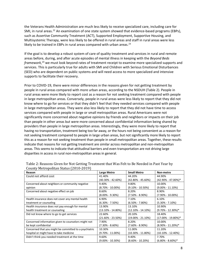the Veterans Health Administration are much less likely to receive specialized care, including care for SMI, in rural areas.<sup>[22](#page-18-21)</sup> An examination of one state system showed that evidence-based programs (EBPs), such as Assertive Community Treatment (ACT), Supported Employment, Supportive Housing, and Multisystemic Therapy, were less likely to be offered in rural areas and staff in rural areas were less likely to be trained in EBPs in rural areas compared with urban areas. $^{23}$  $^{23}$  $^{23}$ 

If the goal is to develop a robust system of care of quality treatment and services in rural and remote areas before, during, and after acute episodes of mental illness in keeping with the *Beyond Beds framework*, [24](#page-19-0) we must look beyond rates of treatment receipt to examine more specialized supports and services. This is particularly true for adults with SMI and Children with Serious Emotional Disturbances (SED) who are dependent on public systems and will need access to more specialized and intensive supports to facilitate their recovery.

Prior to COVID-19, there were minor differences in the reasons given for not getting treatment by people in rural areas compared with more urban areas, according to the NSDUH (Table 2). People in rural areas were more likely to report cost as a reason for not seeking treatment compared with people in large metropolitan areas. Conversely, people in rural areas were less likely to report that they did not know where to go for services or that they didn't feel that they needed services compared with people in large metropolitan areas. They were also less likely to report that they did not have time to access services compared with people in large or small metropolitan areas. Rural Americans were not significantly more concerned about negative opinions by friends and neighbors or impacts on their job than people in other areas but were more concerned about confidential information being shared by providers than people in large metropolitan areas. Interestingly, they were more likely to report that having no transportation, treatment being too far away, or the hours not being convenient as a reason for not seeking treatment compared to people in large urban areas, but not significantly more likely to report this as a reason for not seeking treatment than people in small metropolitan areas. Together, these results indicate that reasons for not getting treatment are similar across metropolitan and non-metropolitan areas. This seems to indicate that attitudinal barriers and even transportation are not driving large disparities in access in rural non-metropolitan areas in general.

| Reason                                                 | Large Metro           | <b>Small Metro</b>    | Non-metro              |
|--------------------------------------------------------|-----------------------|-----------------------|------------------------|
| Could not afford cost                                  | 41.40%                | 44.20%                | 44.90%                 |
|                                                        | $(40.30\% - 42.60\%)$ | $(42.80\% - 45.60\%)$ | $(42.90\% - 47.00\%)*$ |
| Concerned about neighbors or community negative        | 9.40%                 | 9.80%                 | 10.00%                 |
| opinion                                                | $(8.70\% - 10.00\%)$  | $(9.10\% - 10.50\%)$  | $(9.00\% - 11.10\%)$   |
| Concerned about negative effect on job                 | 8.60%                 | 8.20%                 | 8.90%                  |
|                                                        | $(8.00\% - 9.30\%)$   | $(7.50\% - 8.90\%)$   | $(7.90\% - 10.00\%)$   |
| Health insurance does not cover any mental health      | 6.90%                 | 7.10%                 | 6.10%                  |
| treatment or counseling                                | $(6.30\% - 7.50\%)$   | $(6.50\% - 7.80\%)$   | $(5.30\% - 7.10\%)$    |
| Health insurance does not pay enough for mental        | 13.90%                | 13.10%                | 10.90%                 |
| health treatment or counseling                         | $(13.10\% - 14.80\%)$ | $(12.10\% - 14.10\%)$ | $(9.70\% - 12.30\%)*$  |
| Did not know where to go to get services               | 22.60%                | 20.10%                | 18.40%                 |
|                                                        | $(21.60\% - 23.50\%)$ | $(19.00\% - 21.10\%)$ | $(17.00\% - 19.80\%)*$ |
| Concerned information given to counselors might not    | 7.90%                 | 8.20%                 | 10.00%                 |
| be kept confidential                                   | $(7.30\% - 8.60\%)$   | $(7.60\% - 8.90\%)$   | $(8.90\% - 11.20\%)*$  |
| Concerned that you might be committed to a psychiatric | 10.30%                | 11.00%                | 11.20%                 |
| hospital or might have to take medicine                | $(9.70\% - 11.00\%)$  | $(10.30\% - 11.80\%)$ | $(10.10\% - 12.40\%)$  |
| Didn't think you needed treatment at the time          | 9.60%                 | 9.40%                 | 7.70%                  |
|                                                        | $(9.00\% - 10.30\%)$  | $(8.60\% - 10.20\%)$  | $(6.80\% - 8.60\%)*$   |

Table 2: Reasons Given for Not Getting Treatment that Was Felt to Be Needed in Past Year by County Metropolitan Status (2010-2019)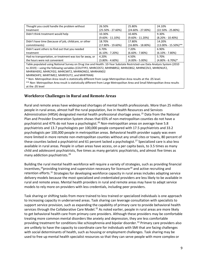| Thought you could handle the problem without             | 26.50%                | 25.80%                | 24.10%                   |
|----------------------------------------------------------|-----------------------|-----------------------|--------------------------|
| treatment                                                | $(25.50\% - 27.60\%)$ | $(24.60\% - 27.00\%)$ | $(22.50\% - 25.80\%)$    |
| Didn't think treatment would help                        | 10.30%                | 10.40%                | 9.30%                    |
|                                                          | $(9.60\% - 11.10\%)$  | $(9.60\% - 11.20\%)$  | $(8.20\% - 10.40\%)$     |
| Didn't have time (because of job, childcare, or other    | 18.70%                | 17.80%                | 14.20%                   |
| commitments)                                             | $(17.80\% - 19.60\%)$ | $(16.80\% - 18.80\%)$ | $(13.00\% - 15.50\%)$ ** |
| Didn't want others to find out that you needed           | 6.70%                 | 7.20%                 | 6.90%                    |
| treatment                                                | $(6.10\% - 7.20\%)$   | $(6.60\% - 7.80\%)$   | $(6.10\% - 7.80\%)$      |
| Had no transportation, or treatment was too far away, or | 4.20%                 | 4.50%                 | 5.70%                    |
| the hours were not convenient                            | (3.80% - 4.60%)       | $(4.00\% - 5.00\%)$   | $(4.80\% - 6.70\%)*$     |

Table populated using National Survey on Drug Use and Health: 10-Year Substate Restricted-use Data Analysis System (2010 to 2019) – using the following variables (COUTYP2, MHRCOST2, MHRNBRS2, MHRJOBS2, MHRNCOV2, MHRENUF2, MHRWHER2, MHRCFID2, MHRCMIT2, MHRNOND2, MHRHAND2

MHRNOHP2, MHRTIME2, MHRFOUT2, and MHRTRAN)

\* Non- Metropolitan Area result is statistically different from Large Metropolitan Area results at the .05 level.

\*\* Non- Metropolitan Area result is statistically different from Large Metropolitan Area and Small Metropolitan Area results at the .05 level

## **Workforce Challenges in Rural and Remote Areas**

Rural and remote areas have widespread shortages of mental health professionals. More than 25 million people in rural areas, almost half the rural population, live in Health Resources and Services Administration (HRSA) designated mental health professional shortage areas.<sup>[25](#page-19-1)</sup> Data from the National Plan and Provider Enumeration System shows that 65% of non-metropolitan counties do not have a psychiatrist and 47% do not have a psychologist.<sup>[26](#page-19-2)</sup> Non-metropolitan areas on average have 5.8 psychiatrists and 13.7 psychologists per 100,000 people compared with 17.5 psychiatrists and 33.2 psychologists per 100,000 people in metropolitan areas. Behavioral health provider supply was even more limited in more remote non-metropolitan counties without any small cites or towns, 80 percent of these counties lacked a psychiatrist and 61 percent lacked a psychologist.<sup>[27](#page-19-3)</sup> Specialized care is also less available in rural areas. People in urban areas have access, on a per capita basis, to 3.5 times as many child and adolescent psychiatrists, five times as many geriatric psychiatrists, and almost five times as many addiction psychiatrists.[28](#page-19-4)

Building the rural mental health workforce will require a variety of strategies, such as providing financial incentives,<sup>[29](#page-19-5)</sup>providing training and supervision necessary for licensure<sup>[30](#page-19-6)</sup> and active recruiting and retention efforts.<sup>[31](#page-19-7)</sup> Strategies for developing workforce capacity in rural areas includes adapting service delivery models because the most specialized and credentialed providers are less likely to be available in rural and remote areas. Mental health providers in rural and remote areas may have to adapt service models to rely more on providers with less credentials, including peer providers.

Task sharing or shifting tasks from more trained to less trained or specialized individuals is one approach to increasing capacity in underserved areas. Task sharing can leverage consultation with specialists to support service provision, such as expanding the capability of primary care to provide behavioral health services through the Collaborative Care Model.<sup>[32](#page-19-8)</sup> As noted earlier, people in rural areas are more likely to get behavioral health care from primary care providers. Although these providers may be comfortable treating more common mental disorders like anxiety and depression, they are less comfortable providing treatment for conditions like schizophrenia and bipolar disorder.<sup>[33](#page-19-9)</sup> Primary care providers also are unlikely to have the capacity to coordinate care for individuals with SMI that are facing challenges with social determinants of health, such as housing or employment challenges. Task sharing may be used to free up mental health specialist resources so that they can serve people with more complex or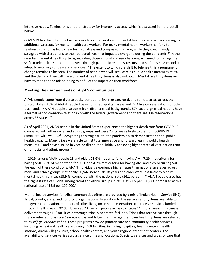intensive needs. Telehealth is another strategy for improving access, which is discussed in more detail below.

COVID-19 has disrupted the business models and operations of mental health care providers leading to additional stressors for mental health care workers. For many mental health workers, shifting to telehealth platforms led to new forms of stress and compassion fatigue, while they concurrently struggled with disruptions to their personal lives that impacted everyone during the pandemic.<sup>[34](#page-19-10)</sup> In the near term, mental health systems, including those in rural and remote areas, will need to manage the shift to telehealth, support employees through pandemic related stressors, and shift business models to adapt to new ways of delivering services.<sup>[35](#page-19-11)</sup> The extent to which the shift to telehealth is a permanent change remains to be seen. The number of people who will seek care as public health measures relax, and the demand they will place on mental health systems is also unknown. Mental health systems will have to monitor and adapt, being mindful of the impact on their workforce.

## **Meeting the unique needs of AI/AN communities**

AI/AN people come from diverse backgrounds and live in urban, rural, and remote areas across the United States: 40% of AI/AN people live in non-metropolitan areas and 22% live on reservations or other trust lands. [36](#page-19-12) AI/AN people also come from distinct tribal backgrounds. 574 sovereign tribal nations have a formal nation-to-nation relationship with the federal government and there are 334 reservations across 35 states.<sup>[37](#page-19-13)</sup>

As of April 2021, AI/AN people in the United States experienced the highest death rate from COVID-19 compared with other racial and ethnic groups and were 2.4 times as likely to die from COVID-19 compared with whites.<sup>[38](#page-19-14)</sup> Recognizing this tragic truth, the pandemic also demonstrated tribal public health capacity. Many tribes were able to institute innovative and forward leaning public health measures [39](#page-19-15) and have also led in vaccine distribution, initially achieving higher rates of vaccination than other racial and ethnic groups.<sup>[40](#page-19-16)</sup>

In 2019, among AI/AN people 18 and older, 23.6% met criteria for having AMI, 7.2% met criteria for having SMI, 8.9% of met criteria for SUD, and 4.7% met criteria for having AMI and a co-occurring SUD. For each of these conditions, AI/AN individuals experience higher rates than national averages across racial and ethnic groups. Nationally, AI/AN individuals 18 years and older were less likely to receive mental health services (13.9 %) compared with the national rate (16.1 percent).<sup>[41](#page-19-17)</sup> AI/AN people also had the highest rate of suicide among racial and ethnic groups in 2019, at 22.5 per 100,000 compared with a national rate of 13.9 per 100,000.<sup>[42](#page-19-18)</sup>

Mental health services for tribal communities often are provided by a mix of Indian Health Service (IHS), Tribal, county, state, and nonprofit organizations. In addition to the services and systems available to the general population, members of tribes living on or near reservations can receive services funded through the IHS. As of 2019, IHS served 2.6 million people across 37 states.<sup>[43](#page-19-19)</sup> In rural areas, this care is delivered through IHS facilities or through tribally operated facilities. Tribes that receive care through IHS are referred to as *direct service tribes* and tribes that manage their own health systems are referred to as *self-governance tribes*. These programs provide primary care and community health services, including behavioral health care through 568 facilities, including hospitals, health centers, health stations, Alaska village clinics, school health centers, and youth regional treatment centers. The availability of services varies across service units and locations. Specialty services and types of care that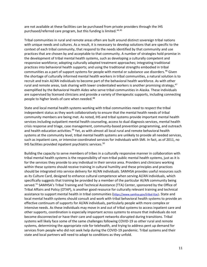are not available at these facilities can be purchased from private providers through the IHS purchased/referred care program, but this funding is limited.<sup>[44,](#page-19-20)[45](#page-19-21)</sup>

Tribal communities in rural and remote areas often are built around distinct sovereign tribal nations with unique needs and cultures. As a result, it is necessary to develop solutions that are specific to the context of each tribal community, that respond to the needs identified by that community and use practices that are chosen by and acceptable to that community. A number of strategies hold promise in the development of tribal mental health systems, such as developing a culturally competent and responsive workforce; adopting culturally adapted treatment approaches; integrating traditional practices into behavioral health supports; and using the traditional strengths embodied in tribal communities as a part of support systems for people with mental or substance use disorders.<sup>[46](#page-19-22)</sup> Given the shortage of culturally informed mental health workers in tribal communities, a natural solution is to recruit and train AI/AN individuals to become part of the behavioral health workforce. As with other rural and remote areas, task sharing with lower credentialed workers is another promising strategy,<sup>[47](#page-19-23)</sup> exemplified by the Behavioral Health Aides who serve tribal communities in Alaska. These individuals are supervised by licensed clinicians and provide a variety of therapeutic supports, including connecting people to higher levels of care when needed.<sup>[48](#page-19-24)</sup>

State and local mental health systems working with tribal communities need to respect the tribal independent status as they work collaboratively to ensure that the mental health needs of tribal community members are being met. As noted, IHS and tribal systems provide important mental health services including outpatient mental health counseling, access to dual diagnosis services, mental health crisis response and triage, case management, community-based prevention programming, and outreach and health education activities.<sup>[49](#page-20-0)</sup> Yet, as with almost all local rural and remote behavioral health systems at the community level, tribal mental health systems are unlikely to provide all needed services, such as inpatient care, or intensive coordinated services for individuals with SMI. In fact, as of 2011, no IHS facilities provided inpatient psychiatric services.<sup>[50](#page-20-1)</sup>

Building the capacity to serve members of tribes in a culturally responsive manner in collaboration with tribal mental health systems is the responsibility of non-tribal public mental health systems, just as it is for the services they provide to any individual in their service area. Providers and clinicians working within these systems should receive training in cultural humility and these principles and practices should be integrated into service delivery for AI/AN individuals. SAMHSA provides useful resources such as its Culture Card, designed to enhance cultural competence when serving AI/AN individuals, which specifically suggests that training be provided by a member of the particular AI/AN community being served.<sup>[51](#page-20-2)</sup> SAMHSA's Tribal Training and Technical Assistance (TTA) Center, sponsored by the Office of Tribal Affairs and Policy (OTAP), is another good resource for culturally relevant training and technical assistance to support mental health in tribal communities [\(https://www.samhsa.gov/tribal-ttac\)](https://www.samhsa.gov/tribal-ttac). State and local mental health systems should consult and work with tribal behavioral health systems to provide an effective continuum of supports for AI/AN individuals, particularly people with more complex or intensive needs. As these individuals may move in and out of tribal systems to access inpatient care and other supports, coordination is especially important across systems to ensure that individuals do not become disconnected or have their care and support networks disrupted during transitions. Tribal systems will likely face some of the same challenges following COVID-19 as other rural and remote systems, determining the appropriate role for telehealth, and trying to address pent up demand for services from people who did not seek help during the COVID-19 pandemic. Tribal systems and their state and local partners will need to adapt to conditions as they unfold.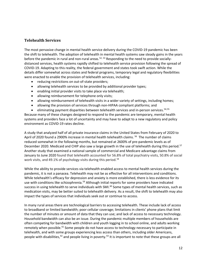#### **Telehealth Services**

The most pervasive change in mental health service delivery during the COVID-19 pandemic has been the shift to telehealth. The adoption of telehealth in mental health systems saw steady gains in the years before the pandemic in rural and non-rural areas.<sup>[52,](#page-20-3) [53](#page-20-4)</sup> Responding to the need to provide sociallydistanced services, health systems rapidly shifted to telehealth service provision following the spread of COVID-19. Adapting to this reality, the federal government and states took swift action. While the details differ somewhat across states and federal programs, temporary legal and regulatory flexibilities were enacted to enable the provision of telehealth services, including:

- reducing restrictions on out-of-state providers;
- allowing telehealth services to be provided by additional provider types;
- enabling initial provider visits to take place via telehealth;
- allowing reimbursement for telephone only visits;
- allowing reimbursement of telehealth visits in a wider variety of settings, including homes;
- allowing the provision of services through non-HIPAA compliant platforms; and
- eliminating payment disparities between telehealth services and in-person services.<sup>[54](#page-20-5),[55](#page-20-6)</sup>

Because many of these changes designed to respond to the pandemic are temporary, mental health systems and providers face a lot of uncertainty and may have to adapt to a new regulatory and policy environment as COVID-19 rates decline.

A study that analyzed half of all private insurance claims in the United States from February of 2020 to April of 2020 found a 2900% increase in mental health telehealth claims.<sup>[56](#page-20-7)</sup> The number of claims reduced somewhat in the following months, but remained at 2600% of pre-pandemic levels as of December 2020. Medicaid and CHIP also saw a large growth in the use of telehealth during this period.<sup>57</sup> Another study that examined a national sample of commercial and Medicare advantage claims from January to June 2020 found that telehealth accounted for 56.8% of total psychiatry visits, 50.8% of social work visits, and 49.1% of psychology visits during this period.<sup>[58](#page-20-9)</sup>

While the ability to provide services via telehealth enabled access to mental health services during the pandemic, it is not a panacea. Telehealth may not be as effective for all interventions and conditions. While telehealth's efficacy for depression and anxiety is more established, there is less evidence for its use with conditions like schizophrenia.<sup>[59](#page-20-10)</sup> Although initial reports for some providers have indicated success in using telehealth to serve individuals with SMI.<sup>[60](#page-20-11)</sup> Some types of mental health services, such as medication visits, may be better suited to telehealth delivery. As a result, the shift to telehealth may also impact the types of services that individuals seek out or continue to access.

In many rural areas there are technological barriers to accessing telehealth. These include lack of access to broadband or limited bandwidth; poor cellular coverage; limitations in clients' phone plans that limit the number of minutes or amount of data that they can use; and lack of access to necessary technology. Household bandwidth can also be an issue. During the pandemic multiple members of households are often competing for bandwidth with children and youth logging in to school online, and adults working remotely when possible.<sup>[61](#page-20-12)</sup> Some people do not have access to technology necessary to participate in telehealth, and with some groups experiencing less access than others, including older Americans, people with disabilities, <sup>[62](#page-20-13)</sup> and people living in poverty. <sup>[63](#page-20-14)</sup> It is important to note that these groups are all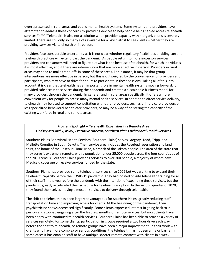overrepresented in rural areas and public mental health systems. Some systems and providers have attempted to address these concerns by providing devices to help people being served access telehealth services.<sup>[64,](#page-20-15) [65,](#page-20-16) [66](#page-20-17)</sup> Telehealth is also not a solution when provider capacity within organizations is severely limited. There are still only so many slots available for a psychiatrist to see clients whether they are providing services via telehealth or in-person.

Providers face considerable uncertainty as it is not clear whether regulatory flexibilities enabling current telehealth practices will extend past the pandemic. As people return to more in-person services, providers and consumers will need to figure out what is the best use of telehealth, for which individuals it is most effective, and if there are interventions that are more effective in-person. Providers in rural areas may need to make trade-offs in some of these areas. For instance, it may be that group interventions are more effective in person, but this is outweighed by the convenience for providers and participants, who may have to drive for hours to participate in these sessions. Taking all of this into account, it is clear that telehealth has an important role in mental health systems moving forward. It provided safe access to services during the pandemic and created a sustainable business model for many providers through the pandemic. In general, and in rural areas specifically, it offers a more convenient way for people to access many mental health services. In addition to direct service delivery, telehealth may be used to support consultation with other providers, such as primary care providers or less specialized behavioral health care providers, so may be a way of bolstering the capacity of the existing workforce in rural and remote areas.

#### **Program Spotlight – Telehealth Expansion in a Remote Area** *Lindsey McCarthy, MSW, Executive Director, Southern Plains Behavioral Health Services*

Southern Plains Behavioral Health Services (Southern Plains) serves Gregory, Todd, Tripp, and Mellette Counties in South Dakota. Their service area includes the Rosebud reservation and land trust, the home of the Rosebud Sioux Tribe, a branch of the Lakota people. The area of the state that they serve is extremely remote, with a population under 25,000 people across the four counties as of the 2010 census. Southern Plains provides services to over 700 people, a majority of whom have Medicaid coverage or receive services funded by the state.

Southern Plains has provided some telehealth services since 2006 but was working to expand their telehealth capacity before the COVID-19 pandemic. They had hosted on-site telehealth training for all of their staff in the year before the pandemic with the intention of expanding these services, but the pandemic greatly accelerated their schedule for telehealth adoption. In the second quarter of 2020, they found themselves moving almost all services to delivery through telehealth.

The shift to telehealth has been largely advantageous for Southern Plains, greatly reducing staff transportation time and improving access for clients. At the beginning of the pandemic, their psychiatric no shows decreased significantly. Some clients expressed interest in going back to inperson and stopped engaging after the first few months of remote services, but most clients have been happy with continued telehealth services. Southern Plains has been able to provide a variety of services remotely. For some clients, participation in groups required a two hour drive each way before the shift to telehealth, so remote groups have been a major improvement. In their work with clients who have more complex or serious conditions, the telehealth hasn't been a major barrier. In some cases it has enabled staff to have multiple shorter remote contacts with clients in a week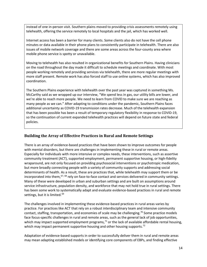instead of one in-person visit. Southern plains moved to providing crisis assessments remotely using telehealth, offering the service remotely to local hospitals and the jail, which has worked well.

Internet access has been a barrier for many clients. Some clients also do not have the cell phone minutes or data available in their phone plans to consistently participate in telehealth. There are also issues of mobile network coverage and there are some areas across the four-county area where mobile phone service is spotty or unavailable.

Moving to telehealth has also resulted in organizational benefits for Southern Plains. Having clinicians on the road throughout the day made it difficult to schedule meetings and coordinate. With most people working remotely and providing services via telehealth, there are more regular meetings with more staff present. Remote work has also forced staff to use online systems, which has also improved coordination.

The Southern Plains experience with telehealth over the past year was captured in something Ms. McCarthy said as we wrapped up our interview, "We spend less in gas, our utility bills are lower, and we're able to reach more people. We need to learn from COVID to make sure we are reaching as many people as we can." After adapting to conditions under the pandemic, Southern Plains faces additional uncertainty as COVID-19 transmission rates decrease. Much of the telehealth expansion that has been possible has been a result of temporary regulatory flexibility in response to COVID-19, so the continuation of current expanded telehealth practices will depend on future state and federal policies.

#### **Building the Array of Effective Practices in Rural and Remote Settings**

There is an array of evidence-based practices that have been shown to improve outcomes for people with mental disorders, but there are challenges in implementing these in rural or remote areas. Especially for individuals with more intensive or complex needs, these interventions, such as assertive community treatment (ACT), supported employment, permanent supportive housing, or high-fidelity wraparound, are not only focused on providing psychosocial interventions or psychotropic medication, but more broadly connecting people with a variety of community supports and addressing social determinants of health. As a result, these are practices that, while telehealth may support them or be incorporated into them,  $67, 68$  $67, 68$  $67, 68$  rely on face-to-face contact and services delivered in community settings. Many of these were developed in urban and suburban settings and are built on assumptions around service infrastructure, population density, and workforce that may not hold true in rural settings. There has been some work to systematically adapt and evaluate evidence-based practices in rural and remote settings, but it is limited.<sup>[69](#page-20-20)</sup>

The challenges involved in implementing these evidence-based practices in rural areas varies by practice. For practices like ACT that rely on a robust interdisciplinary team and intensive community contact, staffing, transportation, and economies of scale may be challenging.<sup>[70](#page-20-21)</sup> Some practice models face focus-specific challenges in rural and remote areas, such as the general lack of job opportunities, which may impact supported employment programs,  $71$  or the lack of available affordable rental housing, which may impact permanent supportive housing and other housing supports.<sup>[72](#page-20-23)</sup>

Adaptation of evidence-based supports in order to successfully deliver them in rural and remote areas may mean adapting established models or identifying core components of EBPs, and finding effective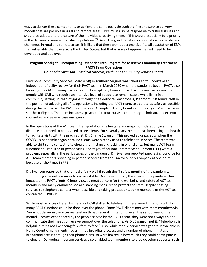ways to deliver these components or achieve the same goals through staffing and service delivery models that are possible in rural and remote areas. EBPs must also be responsive to cultural issues and should be adapted to the culture of the individuals receiving them.<sup>[73](#page-20-24)</sup> This should especially be a priority in the delivery of services to tribal populations.<sup>[74](#page-20-25)</sup> Given the great variation in populations, capacity, and challenges in rural and remote areas, it is likely that there won't be a one-size-fits-all adaptation of EBPs that will enable their use across the United States, but that a range of approaches will need to be developed and deployed.

# **Program Spotlight – Incorporating Telehealth into Program for Assertive Community Treatment (PACT) Team Operations**

#### *Dr. Charlie Swanson – Medical Director, Piedmont Community Services Board*

Piedmont Community Services Board (CSB) in southern Virginia was scheduled to undertake an independent fidelity review for their PACT team in March 2020 when the pandemic began. PACT, also known just as ACT in many places, is a multidisciplinary team approach with assertive outreach for people with SMI who require an intensive level of support to remain stable while living in a community setting. Instead of going through the fidelity review process, Piedmont CSB found itself in the position of adapting all of its operations, including the PACT team, to operate as safely as possible during the pandemic. The PACT team serves 84 people in Henry County and the city of Martinsville in southern Virginia. The team includes a psychiatrist, four nurses, a pharmacy technician, a peer, two counselors and several case managers.

In the operations of the ACT team, transportation challenges are a major consideration given the distances that need to be traveled to see clients. For several years the team has been using telehealth to facilitate visits with the psychiatrist, Dr. Charlie Swanson. This proved advantageous when the COVID-19 pandemic began because clients were already used to telehealth services. The team was able to shift some contact to telehealth, for instance, checking in with clients, but many ACT team functions still required in-person visits. Shortages of personal protective equipment (PPE) were a problem, especially in the early stages of the pandemic. Dr. Swanson reported purchasing ponchos for ACT team members providing in-person services from the Tractor Supply Company at one point because of shortages in PPE.

Dr. Swanson reported that clients did fairly well through the first few months of the pandemic, summoning internal resources to remain stable. Over time though, the stress of the pandemic has impacted the PACT clients. Clients showed great concern for the wellbeing and safety of ACT team members and many embraced social distancing measures to protect the staff. Despite shifting services to telephonic contact when possible and taking precautions, some members of the ACT team contracted COVID-19.

While most services offered by Piedmont CSB shifted to telehealth, there were limitations with how many PACT functions could be done over the phone. Some PACT clients met with team members via Zoom but delivering services via telehealth had several limitations. Given the seriousness of the mental illnesses experienced by the people served by the PACT team, they were not always able to communicate their needs or receive support over the telephone. As Dr. Swanson put it, "Telephonic is helpful, but it's not like seeing folks face to face." Also, while mobile service was generally available in Henry County, many clients had a limited broadband access and a number of phone minutes or broadband access through their phone plans, so were limited in how much they could participate in telehealth. Delivering in-person services also enabled team members to provide other supports, such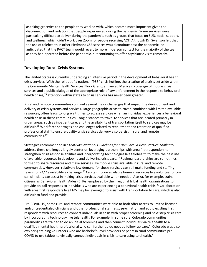as taking groceries to the people they worked with, which became more important given the disconnection and isolation that people experienced during the pandemic. Some services were particularly difficult to deliver during the pandemic, such as groups that focus on SUD, social support, and wellness, which didn't work over Zoom for people receiving ACT. Although Dr. Swanson felt that the use of telehealth in other Piedmont CSB services would continue past the pandemic, he anticipated that the PACT team would revert to more in-person contact for the majority of the team, as they had operated before the pandemic, but continuing to offer psychiatric visits remotely.

## **Developing Rural Crisis Systems**

The United States is currently undergoing an intensive period in the development of behavioral health crisis services. With the rollout of a national "988" crisis hotline, the creation of a crisis set aside within the Community Mental Health Services Block Grant, enhanced Medicaid coverage of mobile crisis services and a public dialogue of the appropriate role of law enforcement in the response to behavioral health crises,<sup>[75](#page-21-0)</sup> attention within states to crisis services has never been greater.

Rural and remote communities confront several major challenges that impact the development and delivery of crisis systems and services. Large geographic areas to cover, combined with limited available resources, often leads to long wait times to access services when an individual experiences a behavioral health crisis in these communities. Long distances to travel to services that are located primarily in urban areas, such as inpatient care, and the availability of transportation itself to services may be difficult.<sup>[76](#page-21-1)</sup> Workforce shortages and challenges related to recruitment and retention of qualified professional staff to ensure quality crisis services delivery also persist in rural and remote communities.[77](#page-21-2)

Strategies recommended in *SAMHSA's National Guidelines for Crisis Care: A Best Practice Toolkit* to address these challenges largely center on leveraging partnerships with area first responders to strengthen crisis response abilities and incorporating technologies like telehealth to make the best use of available resources in developing and delivering crisis care.[78](#page-21-3) Regional partnerships are sometimes formed to share resources and make services like mobile crisis available in rural and remote communities. However, relatively low demand for these services can still make funding and staffing teams for 24/7 availability a challenge.<sup>[79](#page-21-4)</sup> Capitalizing on available human resources like volunteer or oncall clinicians can assist in making crisis services available when needed. Alaska, for example, trains citizens as Behavioral Health Aides (BHAs) employed by their regional tribal health organizations to provide on-call responses to individuals who are experiencing a behavioral health crisis.<sup>[80](#page-21-5)</sup> Collaboration with area first responders like EMS may be leveraged to assist with transportation to care, which is also difficult to fund and provide.

Pre-COVID-19, some rural and remote communities were able to both offer access to limited licensed and/or credentialed clinicians and other professional staff (e.g., psychiatry), and equip existing first responders with resources to connect individuals in crisis with proper screening and next step crisis care by incorporating technology like telehealth. For example, in some rural Colorado communities, paramedics are trained to do an initial screening and then connect individuals via telehealth to a qualified mental health professional who can further guide needed follow-up care.<sup>[81](#page-21-6)</sup> Colorado was also exploring training volunteers who are bachelor's-level providers or peers in rural communities pre-COVID to use tablets to virtually connect individuals in crisis to care using telehealth.<sup>[82](#page-21-7)</sup>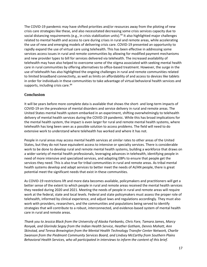The COVID-19 pandemic may have shifted priorities and/or resources away from the piloting of new crisis care strategies like these, and also necessitated decreasing some crisis services capacity due to social distancing requirements (e.g., in crisis stabilization units).<sup>[83](#page-21-8)</sup> It also highlighted major challenges related to mental health and access to care during crises in rural and remote areas, while accelerating the use of new and emerging models of delivering crisis care. COVID-19 presented an opportunity to rapidly expand the use of virtual care using telehealth. This has been effective in addressing some services access issues in rural and remote communities by allowing for modified payment mechanisms and new provider types to bill for services delivered via telehealth. The increased availability of telehealth may have also helped to overcome some of the stigma associated with seeking mental health care in rural communities by offering alternatives to office-based treatment. However, the surge in the use of telehealth has also highlighted the ongoing challenges in rural and remote communities related to limited broadband connectivity, as well as limits on affordability of and access to devices like tablets in order for individuals in these communities to take advantage of virtual behavioral health services and supports, including crisis care.<sup>[84](#page-21-9)</sup>

#### **Conclusion**

It will be years before more complete data is available that shows the short- and long-term impacts of COVID-19 on the prevalence of mental disorders and service delivery in rural and remote areas. The United States mental health system embarked in an experiment, shifting overwhelmingly to telehealth delivery of mental health services during the COVID-19 pandemic. While this has broad implications for the mental health system, the impact is even larger for rural and remote mental health systems, where telehealth has long been seen as a possible solution to access problems. The field will need to do extensive work to understand where telehealth has worked and where it has not.

People in rural areas may access mental health services at similar rates to other areas of the United States, but they do not have equivalent access to intensive or specialty services. There is considerable work to be done to develop rural and remote mental health systems, building a workforce that draws on a wider variety of mental health professionals, leveraging advances in telehealth, identifying people in need of more intensive and specialized services, and adapting EBPs to ensure that people get the services they need. This is also true for tribal communities in rural and remote areas. As tribal mental health systems develop and adapt services to better meet the needs of AI/AN people, there is great potential meet the significant needs that exist in these communities.

As COVID-19 restrictions lift and more data becomes available, policymakers and practitioners will get a better sense of the extent to which people in rural and remote areas received the mental health services they needed during 2020 and 2021. Meeting the needs of people in rural and remote areas will require work at the federal, state and local levels. Federal and state policymakers must assess the proper role of telehealth, informed by clinical experience, and adjust laws and regulations accordingly. They must also work with providers, researchers, and the communities and populations being served to identify strategies that will contribute to a robust, interconnected, and evidence-based system of mental health care in rural and remote areas.

*Thank you to Jessica Black from the University of Alaska Fairbanks, Chris Fore, Tamara James, Marcy Ronyak, and Glorinda Segay from the Indian Health Service, Heather Gotham, Dennis Mohatt, Ann Skinstad, and Teresa Brewington from the Mental Health Technology Transfer Center Network, Charlie Swanson from the Piedmont Community Services Board, and Lindsey McCarthy from Southern Plains Behavioral Health Services, who all participated in interviews to inform the content of this brief.*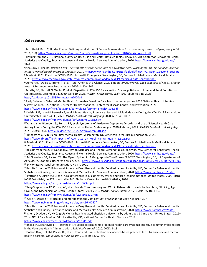#### **References**

<span id="page-18-4"></span><span id="page-18-3"></span><span id="page-18-2"></span>4Pinals DA, Fuller DA: *Beyond beds: The vital role of a full continuum of psychiatric care.* W*ashington, DC, National Association*  of State Mental Health Program Directors, 2017. [https://www.nasmhpd.org/sites/default/files/TAC.Paper\\_.1Beyond\\_Beds.pdf](https://www.nasmhpd.org/sites/default/files/TAC.Paper_.1Beyond_Beds.pdf) <sup>5</sup> Medicaid & CHIP and the COVID-19 Public Health Emergency. Washington, DC, Centers for Medicare & Medicaid Services, 2021. <https://www.medicaid.gov/state-resource-center/downloads/covid-19-medicaid-data-snapshot.pdf>

<span id="page-18-5"></span>6Cromartie J, Dobis E, Krumel T, et al: Rural America at a Glance: 2020 Edition. *Amber Waves: The Economics of Food, Farming, Natural Resources, and Rural America 2020;* 1490–1865

<span id="page-18-6"></span><sup>7</sup> Murthy BP, Sterrett N, Weller D, et al: Disparities in COVID-19 Vaccination Coverage Between Urban and Rural Counties — United States, December 14, 2020–April 10, 2021. *MMWR Morb Mortal Wkly Rep*. (Epub May 18, 2021) <http://dx.doi.org/10.15585/mmwr.mm7020e3>

<span id="page-18-7"></span>8 Early Release of Selected Mental Health Estimates Based on Data from the January–June 2019 National Health Interview Survey. Atlanta, GA, National Center for Health Statistics, Centers for Disease Control and Prevention, 2020. <https://www.cdc.gov/nchs/data/nhis/earlyrelease/ERmentalhealth-508.pdf>

<span id="page-18-8"></span> $9$  Czeisler MÉ, Lane RI, Petrosky E, et al: Mental Health, Substance Use, and Suicidal Ideation During the COVID-19 Pandemic  $-$ United States, June 24–30, 2020. *MMWR Morb Mortal Wkly Rep* 2020; 69:1049–1057.

<https://www.cdc.gov/mmwr/volumes/69/wr/mm6932a1.htm>

<span id="page-18-9"></span>10Vahratian A, Blumberg SJ, Terlizzi EP, et al: Symptoms of Anxiety or Depressive Disorder and Use of Mental Health Care Among Adults During the COVID-19 Pandemic — United States, August 2020–February 2021. *MMWR Morb Mortal Wkly Rep* 2021; 70:490–494[. http://dx.doi.org/10.15585/mmwr.mm7013e2](http://dx.doi.org/10.15585/mmwr.mm7013e2)

<span id="page-18-10"></span><sup>11</sup> Impacts of COVID-19 on Rural Mental Health. Washington, DC, American Farm Bureau Federation, 2020.

[https://www.fb.org/files/Impacts\\_of\\_COVID-19\\_on\\_Rural\\_Mental\\_Health\\_1.6.21.pdf](https://www.fb.org/files/Impacts_of_COVID-19_on_Rural_Mental_Health_1.6.21.pdf)

<span id="page-18-11"></span><sup>12</sup> Medicaid & CHIP and the COVID-19 Public Health Emergency. Washington, DC, Centers for Medicare & Medicaid Services, 2021[. https://www.medicaid.gov/state-resource-center/downloads/covid-19-medicaid-data-snapshot.pdf](https://www.medicaid.gov/state-resource-center/downloads/covid-19-medicaid-data-snapshot.pdf)

<span id="page-18-13"></span><span id="page-18-12"></span>13Results from the 2019 National Survey on Drug Use and Health: Detailed tables. Rockville, MD, Center for Behavioral Health Statistics and Quality, Substance Abuse and Mental Health Services Administration, 2020[. https://www.samhsa.gov/data/](https://www.samhsa.gov/data/) <sup>14</sup> McGranahan DA, Parker, TS: The Opioid Epidemic: A Geography in Two Phases ERR-287. Washington, DC, US Department of Agriculture, Economic Research Service, 2021.<https://www.ers.usda.gov/webdocs/publications/100833/err-287.pdf?v=1130.9> <sup>15</sup> D Mohatt: Personal communication, May 4, 2021

<span id="page-18-15"></span><span id="page-18-14"></span><sup>16</sup>Results from the 2019 National Survey on Drug Use and Health: Detailed tables. Rockville, MD, Center for Behavioral Health Statistics and Quality, Substance Abuse and Mental Health Services Administration, 2020[. https://www.samhsa.gov/data/](https://www.samhsa.gov/data/)

<span id="page-18-16"></span><sup>17</sup> Pettrone K, Curtin SC: Urban–rural differences in suicide rates, by sex and three leading methods: United States, 2000–2018. NCHS Data Brief, no 373. Hyattsville, MD, National Center for Health Statistics, 2020.

<https://www.cdc.gov/nchs/data/databriefs/db373-h.pdf>

<span id="page-18-17"></span><sup>18</sup> Ivey-Stephenson AZ, Crosby, AE, et al: Suicide Trends Among and Within Urbanization Levels by Sex, Race/Ethnicity, Age Group, And Mechanism of Death – United States, 2001-2015. *MMWR Surveil Summ* 2017; 66(No. SS-18):1-16. <https://www.cdc.gov/mmwr/volumes/66/ss/ss6618a1.htm>

<span id="page-18-18"></span><sup>19</sup> Case A, Deaton A: Mortality and morbidity in the 21st century. *Brookings Pap Econ Act* 2017, 397. <https://www.ncbi.nlm.nih.gov/pmc/articles/pmc5640267/>

<span id="page-18-20"></span><span id="page-18-19"></span><sup>20</sup>Results from the 2019 National Survey on Drug Use and Health: Detailed tables. Rockville, MD, Center for Behavioral Health Statistics and Quality, Substance Abuse and Mental Health Services Administration, 2020[. https://www.samhsa.gov/data/](https://www.samhsa.gov/data/) <sup>21</sup> Cherry D, Albert M, McCaig LF: Mental health-related physician office visits by adults aged 18 and over: United States, 2012– 2014. NCHS Data Brief, no 311. Hyattsville, MD, National Center for Health Statistics, 2018. <https://www.cdc.gov/nchs/data/databriefs/db311.pdf>

<span id="page-18-21"></span>22Bhalla IP, Stefanovics EA, Rosenheck RA: Social determinants of mental health care systems: Intensive community based care in the Veterans Health Administration. *BMC Public Health* 2020; 20(1): 1-13

<span id="page-18-22"></span><sup>23</sup>Dotson JAW, Roll JM, Packer RR, et al: Urban and rural utilization of evidence-based practices for substance use and mental health disorders. *The Journal of Rural Health* 2014; 30(3):292-299

<span id="page-18-0"></span><sup>1</sup> Ratcliffe M, Burd C, Holder K, et al: Defining rural at the US Census Bureau. *American community survey and geography brief* 2016; *1*(8)[. https://www.census.gov/content/dam/Census/library/publications/2016/acs/acsgeo-1.pdf](https://www.census.gov/content/dam/Census/library/publications/2016/acs/acsgeo-1.pdf)

<span id="page-18-1"></span><sup>&</sup>lt;sup>2</sup> Results from the 2019 National Survey on Drug Use and Health: Detailed tables. Rockville, MD, Center for Behavioral Health Statistics and Quality, Substance Abuse and Mental Health Services Administration, 2020[. https://www.samhsa.gov/data/](https://www.samhsa.gov/data/) 3Ibid.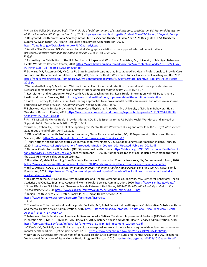<span id="page-19-0"></span>24Pinals DA, Fuller DA: *Beyond beds: The vital role of a full continuum of psychiatric care.* W*ashington, DC, National Association*  of State Mental Health Program Directors, 2017. [https://www.nasmhpd.org/sites/default/files/TAC.Paper\\_.1Beyond\\_Beds.pdf](https://www.nasmhpd.org/sites/default/files/TAC.Paper_.1Beyond_Beds.pdf) <sup>25</sup> Designated Health Professional Shortage Areas Statistics Second Quarter of Fiscal Year 2021 Designated HPSA Quarterly

<span id="page-19-1"></span>Summary. Washington, DC, Health Resources and Services Administration, 2021. <https://data.hrsa.gov/Default/GenerateHPSAQuarterlyReport>

<span id="page-19-2"></span><sup>26</sup>Andrilla CHA, Patterson DG, Garberson LA, et al: Geographic variation in the supply of selected behavioral health providers. *American journal of preventive medicine* 2018; 54(6): S199-S207 <sup>27</sup> *Ibid.*

<span id="page-19-4"></span><span id="page-19-3"></span><sup>28</sup> Estimating the Distribution of the U.S. Psychiatric Subspecialist Workforce. Ann Arbor, MI, University of Michigan Behavioral Health Workforce Research Center, 2018[. https://www.behavioralhealthworkforce.org/wp-content/uploads/2019/02/Y3-FA2-](https://www.behavioralhealthworkforce.org/wp-content/uploads/2019/02/Y3-FA2-P2-Psych-Sub_Full-Report-FINAL2.19.2019.pdf) [P2-Psych-Sub\\_Full-Report-FINAL2.19.2019.pdf](https://www.behavioralhealthworkforce.org/wp-content/uploads/2019/02/Y3-FA2-P2-Psych-Sub_Full-Report-FINAL2.19.2019.pdf)

<span id="page-19-5"></span><sup>29</sup> Schwartz MR, Patterson DG, McCarty RL: State Incentive Programs that Encourage Allied Health Professionals to Provide Care for Rural and Underserved Populations. Seattle, WA, Center for Health Workforce Studies, University of Washington, Dec 2019. [https://depts.washington.edu/fammed/chws/wp-content/uploads/sites/5/2019/12/State-Incentive-Programs-Allied-Health-FR-](https://depts.washington.edu/fammed/chws/wp-content/uploads/sites/5/2019/12/State-Incentive-Programs-Allied-Health-FR-2019.pdf)[2019.pdf](https://depts.washington.edu/fammed/chws/wp-content/uploads/sites/5/2019/12/State-Incentive-Programs-Allied-Health-FR-2019.pdf)

<span id="page-19-6"></span>30Watanabe-Galloway S, Madison L, Watkins KL, et al: Recruitment and retention of mental health care providers in rural Nebraska: perceptions of providers and administrators. *Rural and remote health* 2015; 15(4): 97

<span id="page-19-7"></span><sup>31</sup> Recruitment and Retention for Rural Health Facilities. Washington, DC, Rural Health Information Hub, US Department of Health and Human Services, 2021.<https://www.ruralhealthinfo.org/topics/rural-health-recruitment-retention>

<span id="page-19-8"></span>32Hoeft T J, Fortney JC, Patel V, et al: Task-sharing approaches to improve mental health care in rural and other low-resource settings: a systematic review. *The Journal of rural health* 2018; 34(1):48-62<br><sup>33</sup> Behavioral Health Service Provision by Primary Care Physicians. Ann Arbor, MI, University of Michigan Behavioral Health

<span id="page-19-9"></span>Workforce Research Center, 2019. [https://www.behavioralhealthworkforce.org/wp-content/uploads/2019/12/Y4-P10-BH-](https://www.behavioralhealthworkforce.org/wp-content/uploads/2019/12/Y4-P10-BH-Capacityof-PC-Phys_Full.pdf)[Capacityof-PC-Phys\\_Full.pdf](https://www.behavioralhealthworkforce.org/wp-content/uploads/2019/12/Y4-P10-BH-Capacityof-PC-Phys_Full.pdf)

<span id="page-19-10"></span>34Fish JN, Mittal M: Mental Health Providers during COVID-19: Essential to the US Public Health Workforce and in Need of Support. *Public Health Reports* 2021; *136*(1):14-17

<span id="page-19-11"></span>35Druss BG, Cohen AN, Brister T, et al: Supporting the Mental Health Workforce During and After COVID-19. *Psychiatric Services* 2021 (Epub ahead of print April 22, 2021)<br><sup>36</sup> Office of Minority Health Profile: American Indian/Alaska Native. Washington, DC, US Department of Health and Human

<span id="page-19-12"></span>Services, 2021[. https://minorityhealth.hhs.gov/omh/browse.aspx?lvl=3&lvlid=62](https://minorityhealth.hhs.gov/omh/browse.aspx?lvl=3&lvlid=62)

<span id="page-19-13"></span><sup>37</sup> Tribal Nations and the United States: An Introduction. Washington, D.C. National Congress of American Indians, February 2020[. https://www.ncai.org/tribalnations/introduction/Indian\\_Country\\_101\\_Updated\\_February\\_2019.pdf](https://www.ncai.org/tribalnations/introduction/Indian_Country_101_Updated_February_2019.pdf)

<span id="page-19-14"></span><sup>38</sup> National Center for Health Statistics (NCHS) provisional death counts [\(https://data.cdc.gov/NCHS/Provisional-Death-Counts](https://data.cdc.gov/NCHS/Provisional-Death-Counts-for-Coronavirus-Disease-C/pj7m-y5uh)[for-Coronavirus-Disease-C/pj7m-y5uh,](https://data.cdc.gov/NCHS/Provisional-Death-Counts-for-Coronavirus-Disease-C/pj7m-y5uh) data through April 3, 2021). Numbers are ratios of age-adjusted rates standardized to the 2019 US intercensal population estimate.

<span id="page-19-15"></span><sup>39</sup> Hostetter M, Klein S: Learning from Pandemic Responses Across Indian Country. New York, NY, Commonwealth Fund, 2020. <https://www.commonwealthfund.org/publications/2020/sep/learning-pandemic-responses-across-indian-country>

<span id="page-19-16"></span><sup>40</sup> Hill L., Artiga S: *COVID-19 Vaccination among American Indian and Alaska Native People.* San Francisco, CA, Kaiser Family Foundation, 2021. [https://www.kff.org/racial-equity-and-health-policy/issue-brief/covid-19-vaccination-american-indian](https://www.kff.org/racial-equity-and-health-policy/issue-brief/covid-19-vaccination-american-indian-alaska-native-people/)[alaska-native-people/](https://www.kff.org/racial-equity-and-health-policy/issue-brief/covid-19-vaccination-american-indian-alaska-native-people/)

<span id="page-19-18"></span><span id="page-19-17"></span>41Results from the 2019 National Survey on Drug Use and Health: Detailed tables. Rockville, MD, Center for Behavioral Health Statistics and Quality, Substance Abuse and Mental Health Services Administration, 2020[. https://www.samhsa.gov/data/](https://www.samhsa.gov/data/) 42Stone DM, Jones CM, Mack KA: Changes in Suicide Rates—United States, 2018–2019. *MMWR. Morbidity and Mortality Weekly Report* 2020, *70*[. https://www.cdc.gov/mmwr/volumes/70/wr/pdfs/mm7008a1-H.pdf](https://www.cdc.gov/mmwr/volumes/70/wr/pdfs/mm7008a1-H.pdf)

<span id="page-19-19"></span><sup>43</sup> Indian Health Service 2020 Profile. Rockville, MD, Indian Health Service, 2021.

<https://www.ihs.gov/newsroom/index.cfm/factsheets/ihsprofile/>

<span id="page-19-20"></span><sup>44</sup> Ibid.

<span id="page-19-21"></span><sup>45</sup> The national Tribal behavioral health agenda. Rockville, MD, Tribal Behavioral Health Agenda Collaborative, Substance Abuse and Mental Health Service Administration*,* 2016. [https://store.samhsa.gov/product/The-National-Tribal-Behavioral-Health-](https://store.samhsa.gov/product/The-National-Tribal-Behavioral-Health-Agenda/PEP16-NTBH-AGENDA)[Agenda/PEP16-NTBH-AGENDA](https://store.samhsa.gov/product/The-National-Tribal-Behavioral-Health-Agenda/PEP16-NTBH-AGENDA)

<span id="page-19-22"></span><sup>46</sup> Behavioral Health Services for American Indians and Alaska Natives. Treatment Improvement Protocol (TIP) Series 61. HHS Publication No. (SMA) 18- 5070EXSUMM. Rockville, MD, Substance Abuse and Mental Health Services Administration, 2018. [https://store.samhsa.gov/sites/default/files/d7/priv/tip\\_61\\_aian\\_full\\_document\\_020419\\_0.pdf](https://store.samhsa.gov/sites/default/files/d7/priv/tip_61_aian_full_document_020419_0.pdf)

<span id="page-19-23"></span>47O'Keefe VM, Cwik MF, Haroz EE: Increasing culturally responsive care and mental health equity with indigenous community mental health workers. *Psychological services* 2019. <https://www.ncbi.nlm.nih.gov/pmc/articles/PMC6824928/#R5>

<span id="page-19-24"></span>48 Neylon KA: Strategies for the Delivery of Behavioral Health Crisis Services in Rural and Frontier Areas of the US. Alexandria, VA: National Association of State Mental Health Program Directors, 2020[. http://nri-inc.org/media/1679/2020paper10.pdf](http://nri-inc.org/media/1679/2020paper10.pdf)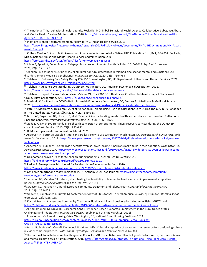<span id="page-20-0"></span><sup>49</sup> The national Tribal behavioral health agenda. Rockville, MD, Tribal Behavioral Health Agenda Collaborative, Substance Abuse and Mental Health Service Administration*,* 2016. [https://store.samhsa.gov/product/The-National-Tribal-Behavioral-Health-](https://store.samhsa.gov/product/The-National-Tribal-Behavioral-Health-Agenda/PEP16-NTBH-AGENDA)[Agenda/PEP16-NTBH-AGENDA](https://store.samhsa.gov/product/The-National-Tribal-Behavioral-Health-Agenda/PEP16-NTBH-AGENDA)

<span id="page-20-1"></span><sup>50</sup> Inpatient Mental Health Assessment. Rockville, MD, Indian Health Service, 2011.

[https://www.ihs.gov/sites/newsroom/themes/responsive2017/display\\_objects/documents/FINAL\\_IHCIA\\_InpatientMH\\_Assess](https://www.ihs.gov/sites/newsroom/themes/responsive2017/display_objects/documents/FINAL_IHCIA_InpatientMH_Assessment_Final.pdf) [ment\\_Final.pdf](https://www.ihs.gov/sites/newsroom/themes/responsive2017/display_objects/documents/FINAL_IHCIA_InpatientMH_Assessment_Final.pdf)

<span id="page-20-2"></span><sup>51</sup> Culture Card: A Guide to Build Awareness: American Indian and Alaska Native. HHS Publication No. (SMA) 08-4354. Rockville, MD, Substance Abuse and Mental Health Services Administration, 2009.

<https://store.samhsa.gov/sites/default/files/d7/priv/sma08-4354.pdf>

<span id="page-20-3"></span>52Spivak S, Spivak A, Cullen B, et al: Telepsychiatry use in US mental health facilities, 2010–2017. *Psychiatric services* 2020; *71*(2):121–127

<span id="page-20-4"></span>53Creedon TB, Schrader KE, O'Brien PL, et al: Rural-nonrural differences in telemedicine use for mental and substance use disorders among Medicaid beneficiaries. *Psychiatric services* 2020; *71*(8):756–764

<span id="page-20-5"></span><sup>54</sup> Telehealth: Delivering Care Safely During COVID-19. Washington, DC, US Department of Health and Human Services, 2021. <https://www.hhs.gov/coronavirus/telehealth/index.html>

<span id="page-20-6"></span><sup>55</sup> Telehealth guidance by state during COVID-19. Washington, DC, American Psychological Association, 2021. <https://www.apaservices.org/practice/clinic/covid-19-telehealth-state-summary>

<span id="page-20-7"></span><sup>56</sup> Telehealth Impact: Claims Data Analysis. Mclean, VA, The COVID-19 Healthcare Coalition Telehealth Impact Study Work Group, Mitre Corporation, 2021[. https://c19hcc.org/telehealth/claims-analysis/](https://c19hcc.org/telehealth/claims-analysis/)

<span id="page-20-8"></span><sup>57</sup> Medicaid & CHIP and the COVID-19 Public Health Emergency. Washington, DC, Centers for Medicare & Medicaid Services, 2021[. https://www.medicaid.gov/state-resource-center/downloads/covid-19-medicaid-data-snapshot.pdf](https://www.medicaid.gov/state-resource-center/downloads/covid-19-medicaid-data-snapshot.pdf)

<span id="page-20-9"></span>58 Patel SY, Mehrotra A, Huskamp HA, et al: Variation in Telemedicine Use and Outpatient Care During The COVID-19 Pandemic in The United States. *Health Affairs* 2021; 40(2): 349–358

<span id="page-20-10"></span><sup>59</sup> Busch AB, Sugarman DE, Horvitz LE, et al: Telemedicine for treating mental health and substance use disorders: Reflections since the pandemic. *Neuropsychopharmacology* 2021; 46(6):1068–1070

<span id="page-20-11"></span>60Medalia A, Lynch DA, Herlands T: Telehealth conversion of serious mental illness recovery services during the COVID-19 crisis. *Psychiatric Services* 2020; *71*(8): 872–872

<span id="page-20-12"></span><sup>61</sup> D. Mohatt, personal communication, May 4, 2021

<span id="page-20-13"></span>62Anderson M, Perrin A: Disabled Americans are less likely to use technology. Washington, DC, *Pew Research Center FactTank: News in the Numbers,* 2017. [https://www.pewresearch.org/fact-tank/2017/04/07/disabled-americans-are-less-likely-to-use](https://www.pewresearch.org/fact-tank/2017/04/07/disabled-americans-are-less-likely-to-use-technology/)[technology/](https://www.pewresearch.org/fact-tank/2017/04/07/disabled-americans-are-less-likely-to-use-technology/)

<span id="page-20-14"></span>63Anderson M, Kumar M: Digital divide persists even as lower-income Americans make gains in tech adoption. Washington, DC, *Pew research center* 2017. [https://www.pewresearch.org/fact-tank/2019/05/07/digital-divide-persists-even-as-lower-income](https://www.pewresearch.org/fact-tank/2019/05/07/digital-divide-persists-even-as-lower-income-americans-make-gains-in-tech-adoption/)[americans-make-gains-in-tech-adoption/](https://www.pewresearch.org/fact-tank/2019/05/07/digital-divide-persists-even-as-lower-income-americans-make-gains-in-tech-adoption/)

<span id="page-20-15"></span><sup>64</sup> Oklahoma to provide iPads for telehealth during pandemic. *Mental Health Weekly* 2020.

<https://onlinelibrary.wiley.com/doi/epdf/10.1002/mhw.32321>

<span id="page-20-16"></span><sup>65</sup> Parker R: Smartphones Distributed for Telehealth. *Inside Indiana Business* 2020*.* 

<https://www.insideindianabusiness.com/story/42930355/smartphones-distributed-for-telehealth>

<span id="page-20-17"></span><sup>66</sup> Get a free smartphone today. Indianapolis, IN, Anthem, 2021. Available at[: https://blog.anthem.com/community](https://blog.anthem.com/community-resources/get-a-free-smartphone-today)[resources/get-a-free-smartphone-today](https://blog.anthem.com/community-resources/get-a-free-smartphone-today)

<span id="page-20-18"></span>67Henwood BF, Madden DR, Lahey J, et al: Testing the feasibility of telemental health services in permanent supportive housing. *Journal of Social Distress and the Homeless* 2019; 1–5

<span id="page-20-19"></span>68Swanson CL, Trestman RL: Rural assertive community treatment and telepsychiatry. *Journal of Psychiatric Practice* 2018; *24*(4):269–273

<span id="page-20-20"></span>69Weaver A, Capobianco J, Ruffolo M: Systematic review of EBPs for SMI in rural America. *Journal of evidence-informed social work* 2015; *12*(2):155–165

<span id="page-20-21"></span> $70$  Koch H, Bastian K: Assertive Community Treatment Fidelity and Rural Consideration. Mountain Plains MHTTC, n.d. <https://mhttcnetwork.org/sites/default/files/2019-06/rural-assertive-community-treatment-slide-deck.pptx>

<span id="page-20-22"></span>71Al-Abdulmunem M, Drake RE, Carpenter-Song E: Evidence-Based Supported Employment in the Rural United States:

Challenges and Adaptations. *Psychiatric Services* (Epub ahead of print March 18, 2021)

<span id="page-20-23"></span><sup>72</sup> Rural America's Rental Housing Crisis. Washington, DC, National Rural Housing Coalition, 2014.

[http://ruralhousingcoalition.org/wp-content/uploads/2014/07/NRHC-Rural-America-Rental-Housing-](http://ruralhousingcoalition.org/wp-content/uploads/2014/07/NRHC-Rural-America-Rental-Housing-Crisis_FINALV3.compressed.pdf)

[Crisis\\_FINALV3.compressed.pdf](http://ruralhousingcoalition.org/wp-content/uploads/2014/07/NRHC-Rural-America-Rental-Housing-Crisis_FINALV3.compressed.pdf)

<span id="page-20-24"></span>73Bernal G, Jiménez-Chafey MI, Domenech Rodríguez MM: Cultural adaptation of treatments: A resource for considering culture in evidence-based practice. *Professional Psychology: Research and Practice* 2009; *40*(4):361

<span id="page-20-25"></span>74The national Tribal behavioral health agenda. Rockville, MD, Tribal Behavioral Health Agenda Collaborative, Substance Abuse and Mental Health Service Administration*,* 2016. [https://store.samhsa.gov/product/The-National-Tribal-Behavioral-Health-](https://store.samhsa.gov/product/The-National-Tribal-Behavioral-Health-Agenda/PEP16-NTBH-AGENDA)[Agenda/PEP16-NTBH-AGENDA](https://store.samhsa.gov/product/The-National-Tribal-Behavioral-Health-Agenda/PEP16-NTBH-AGENDA)